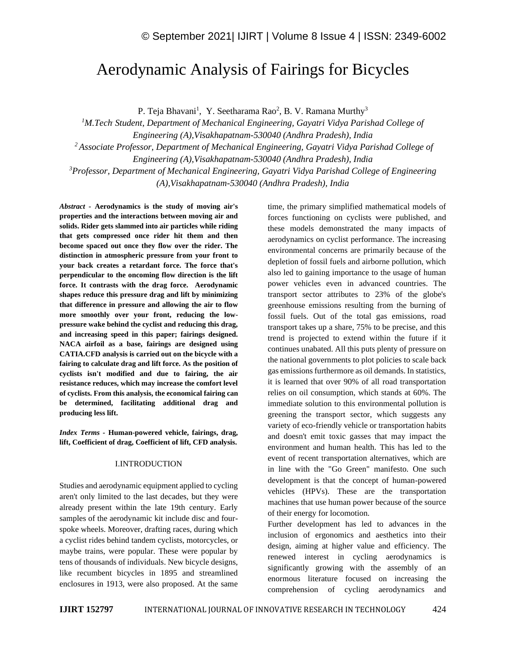# Aerodynamic Analysis of Fairings for Bicycles

P. Teja Bhavani<sup>1</sup>, Y. Seetharama Rao<sup>2</sup>, B. V. Ramana Murthy<sup>3</sup>

*<sup>1</sup>M.Tech. Student, Department of Mechanical Engineering, Gayatri Vidya Parishad College of Engineering (A),Visakhapatnam-530040 (Andhra Pradesh), India*

*<sup>2</sup>Associate Professor, Department of Mechanical Engineering, Gayatri Vidya Parishad College of* 

*Engineering (A),Visakhapatnam-530040 (Andhra Pradesh), India*

*<sup>3</sup>Professor, Department of Mechanical Engineering, Gayatri Vidya Parishad College of Engineering* 

*(A),Visakhapatnam-530040 (Andhra Pradesh), India*

*Abstract -* **Aerodynamics is the study of moving air's properties and the interactions between moving air and solids. Rider gets slammed into air particles while riding that gets compressed once rider hit them and then become spaced out once they flow over the rider. The distinction in atmospheric pressure from your front to your back creates a retardant force. The force that's perpendicular to the oncoming flow direction is the lift force. It contrasts with the drag force. Aerodynamic shapes reduce this pressure drag and lift by minimizing that difference in pressure and allowing the air to flow more smoothly over your front, reducing the lowpressure wake behind the cyclist and reducing this drag, and increasing speed in this paper; fairings designed. NACA airfoil as a base, fairings are designed using CATIA.CFD analysis is carried out on the bicycle with a fairing to calculate drag and lift force. As the position of cyclists isn't modified and due to fairing, the air resistance reduces, which may increase the comfort level of cyclists. From this analysis, the economical fairing can be determined, facilitating additional drag and producing less lift.**

*Index Terms -* **Human-powered vehicle, fairings, drag, lift, Coefficient of drag, Coefficient of lift, CFD analysis.**

#### I.INTRODUCTION

Studies and aerodynamic equipment applied to cycling aren't only limited to the last decades, but they were already present within the late 19th century. Early samples of the aerodynamic kit include disc and fourspoke wheels. Moreover, drafting races, during which a cyclist rides behind tandem cyclists, motorcycles, or maybe trains, were popular. These were popular by tens of thousands of individuals. New bicycle designs, like recumbent bicycles in 1895 and streamlined enclosures in 1913, were also proposed. At the same time, the primary simplified mathematical models of forces functioning on cyclists were published, and these models demonstrated the many impacts of aerodynamics on cyclist performance. The increasing environmental concerns are primarily because of the depletion of fossil fuels and airborne pollution, which also led to gaining importance to the usage of human power vehicles even in advanced countries. The transport sector attributes to 23% of the globe's greenhouse emissions resulting from the burning of fossil fuels. Out of the total gas emissions, road transport takes up a share, 75% to be precise, and this trend is projected to extend within the future if it continues unabated. All this puts plenty of pressure on the national governments to plot policies to scale back gas emissions furthermore as oil demands. In statistics, it is learned that over 90% of all road transportation relies on oil consumption, which stands at 60%. The immediate solution to this environmental pollution is greening the transport sector, which suggests any variety of eco-friendly vehicle or transportation habits and doesn't emit toxic gasses that may impact the environment and human health. This has led to the event of recent transportation alternatives, which are in line with the "Go Green" manifesto. One such development is that the concept of human-powered vehicles (HPVs). These are the transportation machines that use human power because of the source of their energy for locomotion.

Further development has led to advances in the inclusion of ergonomics and aesthetics into their design, aiming at higher value and efficiency. The renewed interest in cycling aerodynamics is significantly growing with the assembly of an enormous literature focused on increasing the comprehension of cycling aerodynamics and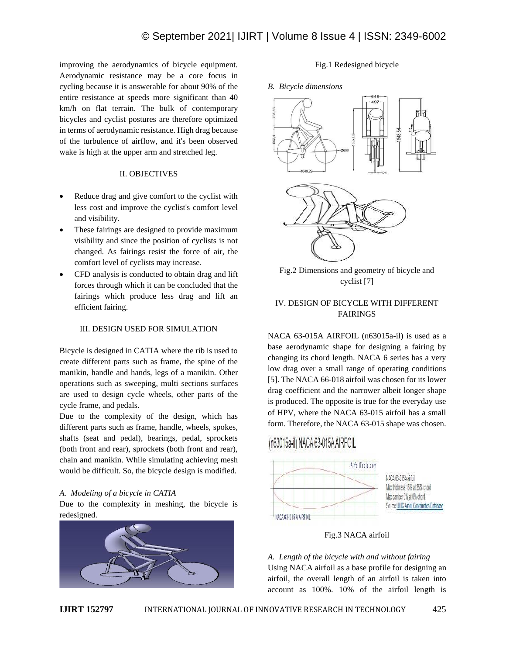improving the aerodynamics of bicycle equipment. Aerodynamic resistance may be a core focus in cycling because it is answerable for about 90% of the entire resistance at speeds more significant than 40 km/h on flat terrain. The bulk of contemporary bicycles and cyclist postures are therefore optimized in terms of aerodynamic resistance. High drag because of the turbulence of airflow, and it's been observed wake is high at the upper arm and stretched leg.

## II. OBJECTIVES

- Reduce drag and give comfort to the cyclist with less cost and improve the cyclist's comfort level and visibility.
- These fairings are designed to provide maximum visibility and since the position of cyclists is not changed. As fairings resist the force of air, the comfort level of cyclists may increase.
- CFD analysis is conducted to obtain drag and lift forces through which it can be concluded that the fairings which produce less drag and lift an efficient fairing.

## III. DESIGN USED FOR SIMULATION

Bicycle is designed in CATIA where the rib is used to create different parts such as frame, the spine of the manikin, handle and hands, legs of a manikin. Other operations such as sweeping, multi sections surfaces are used to design cycle wheels, other parts of the cycle frame, and pedals.

Due to the complexity of the design, which has different parts such as frame, handle, wheels, spokes, shafts (seat and pedal), bearings, pedal, sprockets (both front and rear), sprockets (both front and rear), chain and manikin. While simulating achieving mesh would be difficult. So, the bicycle design is modified.

## *A. Modeling of a bicycle in CATIA*

Due to the complexity in meshing, the bicycle is redesigned.



## Fig.1 Redesigned bicycle

#### *B. Bicycle dimensions*



Fig.2 Dimensions and geometry of bicycle and cyclist [7]

## IV. DESIGN OF BICYCLE WITH DIFFERENT FAIRINGS

NACA 63-015A AIRFOIL (n63015a-il) is used as a base aerodynamic shape for designing a fairing by changing its chord length. NACA 6 series has a very low drag over a small range of operating conditions [5]. The NACA 66-018 airfoil was chosen for its lower drag coefficient and the narrower albeit longer shape is produced. The opposite is true for the everyday use of HPV, where the NACA 63-015 airfoil has a small form. Therefore, the NACA 63-015 shape was chosen.

## (n63015a-il) NACA 63-015A AIRFOIL



Fig.3 NACA airfoil

*A. Length of the bicycle with and without fairing* Using NACA airfoil as a base profile for designing an airfoil, the overall length of an airfoil is taken into account as 100%. 10% of the airfoil length is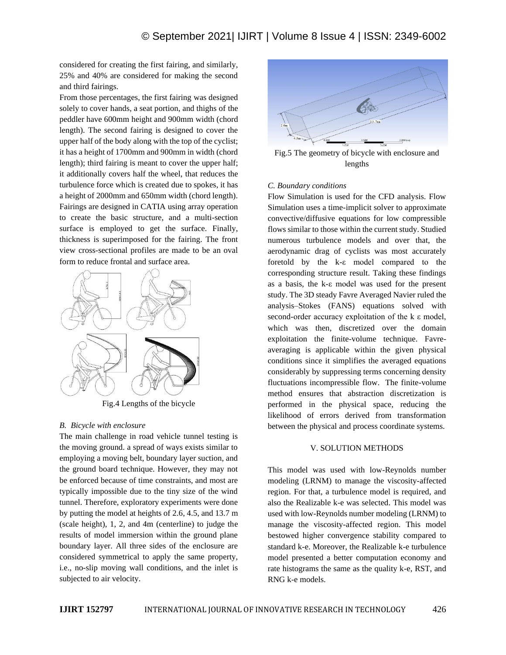considered for creating the first fairing, and similarly, 25% and 40% are considered for making the second and third fairings.

From those percentages, the first fairing was designed solely to cover hands, a seat portion, and thighs of the peddler have 600mm height and 900mm width (chord length). The second fairing is designed to cover the upper half of the body along with the top of the cyclist; it has a height of 1700mm and 900mm in width (chord length); third fairing is meant to cover the upper half; it additionally covers half the wheel, that reduces the turbulence force which is created due to spokes, it has a height of 2000mm and 650mm width (chord length). Fairings are designed in CATIA using array operation to create the basic structure, and a multi-section surface is employed to get the surface. Finally, thickness is superimposed for the fairing. The front view cross-sectional profiles are made to be an oval form to reduce frontal and surface area.



Fig.4 Lengths of the bicycle

## *B. Bicycle with enclosure*

The main challenge in road vehicle tunnel testing is the moving ground. a spread of ways exists similar to employing a moving belt, boundary layer suction, and the ground board technique. However, they may not be enforced because of time constraints, and most are typically impossible due to the tiny size of the wind tunnel. Therefore, exploratory experiments were done by putting the model at heights of 2.6, 4.5, and 13.7 m (scale height), 1, 2, and 4m (centerline) to judge the results of model immersion within the ground plane boundary layer. All three sides of the enclosure are considered symmetrical to apply the same property, i.e., no-slip moving wall conditions, and the inlet is subjected to air velocity.



Fig.5 The geometry of bicycle with enclosure and lengths

#### *C. Boundary conditions*

Flow Simulation is used for the CFD analysis. Flow Simulation uses a time-implicit solver to approximate convective/diffusive equations for low compressible flows similar to those within the current study. Studied numerous turbulence models and over that, the aerodynamic drag of cyclists was most accurately foretold by the k-ε model compared to the corresponding structure result. Taking these findings as a basis, the k-ε model was used for the present study. The 3D steady Favre Averaged Navier ruled the analysis–Stokes (FANS) equations solved with second-order accuracy exploitation of the k ε model, which was then, discretized over the domain exploitation the finite-volume technique. Favreaveraging is applicable within the given physical conditions since it simplifies the averaged equations considerably by suppressing terms concerning density fluctuations incompressible flow. The finite-volume method ensures that abstraction discretization is performed in the physical space, reducing the likelihood of errors derived from transformation between the physical and process coordinate systems.

#### V. SOLUTION METHODS

This model was used with low-Reynolds number modeling (LRNM) to manage the viscosity-affected region. For that, a turbulence model is required, and also the Realizable k-e was selected. This model was used with low-Reynolds number modeling (LRNM) to manage the viscosity-affected region. This model bestowed higher convergence stability compared to standard k-e. Moreover, the Realizable k-e turbulence model presented a better computation economy and rate histograms the same as the quality k-e, RST, and RNG k-e models.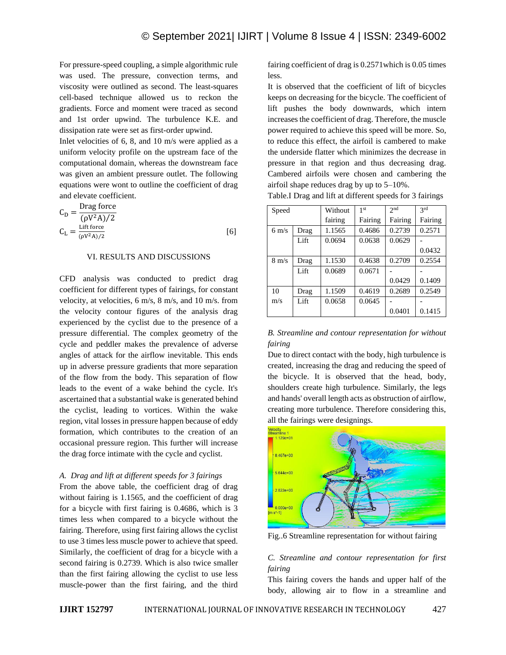For pressure-speed coupling, a simple algorithmic rule was used. The pressure, convection terms, and viscosity were outlined as second. The least-squares cell-based technique allowed us to reckon the gradients. Force and moment were traced as second and 1st order upwind. The turbulence K.E. and dissipation rate were set as first-order upwind.

Inlet velocities of 6, 8, and 10 m/s were applied as a uniform velocity profile on the upstream face of the computational domain, whereas the downstream face was given an ambient pressure outlet. The following equations were wont to outline the coefficient of drag and elevate coefficient.

$$
C_{\rm D} = \frac{\text{Drag force}}{(\rho V^2 A)/2}
$$
  
\n
$$
C_{\rm L} = \frac{\text{Lift force}}{(\rho V^2 A)/2}
$$
 [6]

#### VI. RESULTS AND DISCUSSIONS

CFD analysis was conducted to predict drag coefficient for different types of fairings, for constant velocity, at velocities, 6 m/s, 8 m/s, and 10 m/s. from the velocity contour figures of the analysis drag experienced by the cyclist due to the presence of a pressure differential. The complex geometry of the cycle and peddler makes the prevalence of adverse angles of attack for the airflow inevitable. This ends up in adverse pressure gradients that more separation of the flow from the body. This separation of flow leads to the event of a wake behind the cycle. It's ascertained that a substantial wake is generated behind the cyclist, leading to vortices. Within the wake region, vital losses in pressure happen because of eddy formation, which contributes to the creation of an occasional pressure region. This further will increase the drag force intimate with the cycle and cyclist.

#### *A. Drag and lift at different speeds for 3 fairings*

From the above table, the coefficient drag of drag without fairing is 1.1565, and the coefficient of drag for a bicycle with first fairing is 0.4686, which is 3 times less when compared to a bicycle without the fairing. Therefore, using first fairing allows the cyclist to use 3 times less muscle power to achieve that speed. Similarly, the coefficient of drag for a bicycle with a second fairing is 0.2739. Which is also twice smaller than the first fairing allowing the cyclist to use less muscle-power than the first fairing, and the third fairing coefficient of drag is 0.2571which is 0.05 times less.

It is observed that the coefficient of lift of bicycles keeps on decreasing for the bicycle. The coefficient of lift pushes the body downwards, which intern increases the coefficient of drag. Therefore, the muscle power required to achieve this speed will be more. So, to reduce this effect, the airfoil is cambered to make the underside flatter which minimizes the decrease in pressure in that region and thus decreasing drag. Cambered airfoils were chosen and cambering the airfoil shape reduces drag by up to 5–10%.

Table.I Drag and lift at different speeds for 3 fairings

| Speed           |      | Without | 1 <sub>st</sub> | 2 <sub>nd</sub> | 2rd     |
|-----------------|------|---------|-----------------|-----------------|---------|
|                 |      | fairing | Fairing         | Fairing         | Fairing |
| $6 \text{ m/s}$ | Drag | 1.1565  | 0.4686          | 0.2739          | 0.2571  |
|                 | Lift | 0.0694  | 0.0638          | 0.0629          |         |
|                 |      |         |                 |                 | 0.0432  |
| $8 \text{ m/s}$ | Drag | 1.1530  | 0.4638          | 0.2709          | 0.2554  |
|                 | Lift | 0.0689  | 0.0671          |                 |         |
|                 |      |         |                 | 0.0429          | 0.1409  |
| 10              | Drag | 1.1509  | 0.4619          | 0.2689          | 0.2549  |
| m/s             | Lift | 0.0658  | 0.0645          |                 |         |
|                 |      |         |                 | 0.0401          | 0.1415  |

## *B. Streamline and contour representation for without fairing*

Due to direct contact with the body, high turbulence is created, increasing the drag and reducing the speed of the bicycle. It is observed that the head, body, shoulders create high turbulence. Similarly, the legs and hands' overall length acts as obstruction of airflow, creating more turbulence. Therefore considering this, all the fairings were designings.



Fig..6 Streamline representation for without fairing

## *C. Streamline and contour representation for first fairing*

This fairing covers the hands and upper half of the body, allowing air to flow in a streamline and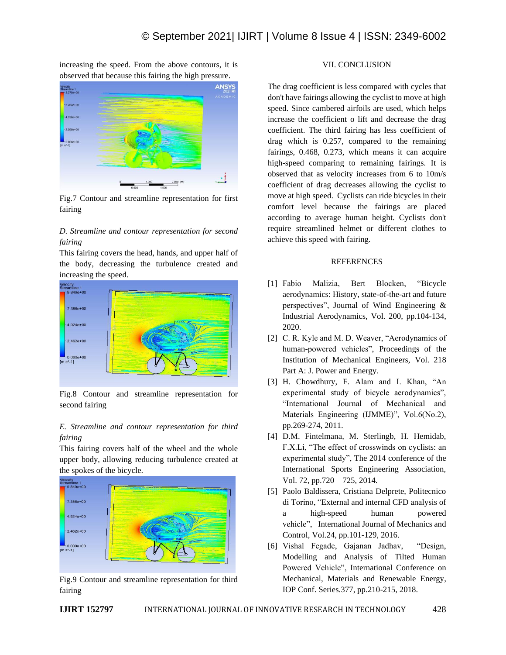increasing the speed. From the above contours, it is observed that because this fairing the high pressure.



Fig.7 Contour and streamline representation for first fairing

## *D. Streamline and contour representation for second fairing*

This fairing covers the head, hands, and upper half of the body, decreasing the turbulence created and increasing the speed.



Fig.8 Contour and streamline representation for second fairing

## *E. Streamline and contour representation for third fairing*

This fairing covers half of the wheel and the whole upper body, allowing reducing turbulence created at the spokes of the bicycle.



Fig.9 Contour and streamline representation for third fairing

## VII. CONCLUSION

The drag coefficient is less compared with cycles that don't have fairings allowing the cyclist to move at high speed. Since cambered airfoils are used, which helps increase the coefficient o lift and decrease the drag coefficient. The third fairing has less coefficient of drag which is 0.257, compared to the remaining fairings, 0.468, 0.273, which means it can acquire high-speed comparing to remaining fairings. It is observed that as velocity increases from 6 to 10m/s coefficient of drag decreases allowing the cyclist to move at high speed. Cyclists can ride bicycles in their comfort level because the fairings are placed according to average human height. Cyclists don't require streamlined helmet or different clothes to achieve this speed with fairing.

## REFERENCES

- [1] Fabio Malizia, Bert Blocken, "Bicycle aerodynamics: History, state-of-the-art and future perspectives", Journal of Wind Engineering & Industrial Aerodynamics, Vol. 200, pp.104-134, 2020.
- [2] C. R. Kyle and M. D. Weaver, "Aerodynamics of human-powered vehicles", Proceedings of the Institution of Mechanical Engineers, Vol. 218 Part A: J. Power and Energy.
- [3] H. Chowdhury, F. Alam and I. Khan, "An experimental study of bicycle aerodynamics", "International Journal of Mechanical and Materials Engineering (IJMME)", Vol.6(No.2), pp.269-274, 2011.
- [4] D.M. Fintelmana, M. Sterlingb, H. Hemidab, F.X.Li, "The effect of crosswinds on cyclists: an experimental study", The 2014 conference of the International Sports Engineering Association, Vol. 72, pp.720 – 725, 2014.
- [5] Paolo Baldissera, Cristiana Delprete, Politecnico di Torino, "External and internal CFD analysis of a high-speed human powered vehicle", International Journal of Mechanics and Control, Vol.24, pp.101-129, 2016.
- [6] Vishal Fegade, Gajanan Jadhav, "Design, Modelling and Analysis of Tilted Human Powered Vehicle", International Conference on Mechanical, Materials and Renewable Energy, IOP Conf. Series.377, pp.210-215, 2018.